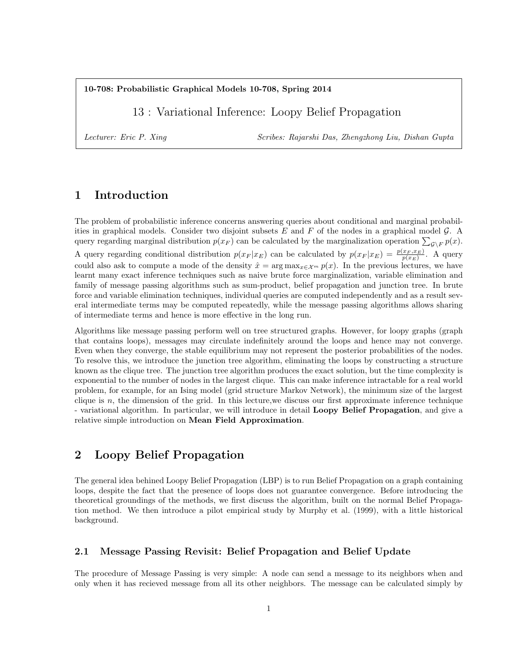10-708: Probabilistic Graphical Models 10-708, Spring 2014

13 : Variational Inference: Loopy Belief Propagation

Lecturer: Eric P. Xing Scribes: Rajarshi Das, Zhengzhong Liu, Dishan Gupta

# 1 Introduction

The problem of probabilistic inference concerns answering queries about conditional and marginal probabilities in graphical models. Consider two disjoint subsets  $E$  and  $F$  of the nodes in a graphical model  $\mathcal{G}$ . A query regarding marginal distribution  $p(x_F)$  can be calculated by the marginalization operation  $\sum_{\mathcal{G}\setminus F} p(x)$ . A query regarding conditional distribution  $p(x_F | x_E)$  can be calculated by  $p(x_F | x_E) = \frac{p(x_F, x_E)}{p(x_E)}$ . A query could also ask to compute a mode of the density  $\hat{x} = \arg \max_{x \in \mathcal{X}^m} p(x)$ . In the previous lectures, we have learnt many exact inference techniques such as naive brute force marginalization, variable elimination and family of message passing algorithms such as sum-product, belief propagation and junction tree. In brute force and variable elimination techniques, individual queries are computed independently and as a result several intermediate terms may be computed repeatedly, while the message passing algorithms allows sharing of intermediate terms and hence is more effective in the long run.

Algorithms like message passing perform well on tree structured graphs. However, for loopy graphs (graph that contains loops), messages may circulate indefinitely around the loops and hence may not converge. Even when they converge, the stable equilibrium may not represent the posterior probabilities of the nodes. To resolve this, we introduce the junction tree algorithm, eliminating the loops by constructing a structure known as the clique tree. The junction tree algorithm produces the exact solution, but the time complexity is exponential to the number of nodes in the largest clique. This can make inference intractable for a real world problem, for example, for an Ising model (grid structure Markov Network), the minimum size of the largest clique is  $n$ , the dimension of the grid. In this lecture, we discuss our first approximate inference technique - variational algorithm. In particular, we will introduce in detail Loopy Belief Propagation, and give a relative simple introduction on Mean Field Approximation.

## 2 Loopy Belief Propagation

The general idea behined Loopy Belief Propagation (LBP) is to run Belief Propagation on a graph containing loops, despite the fact that the presence of loops does not guarantee convergence. Before introducing the theoretical groundings of the methods, we first discuss the algorithm, built on the normal Belief Propagation method. We then introduce a pilot empirical study by Murphy et al. (1999), with a little historical background.

#### 2.1 Message Passing Revisit: Belief Propagation and Belief Update

The procedure of Message Passing is very simple: A node can send a message to its neighbors when and only when it has recieved message from all its other neighbors. The message can be calculated simply by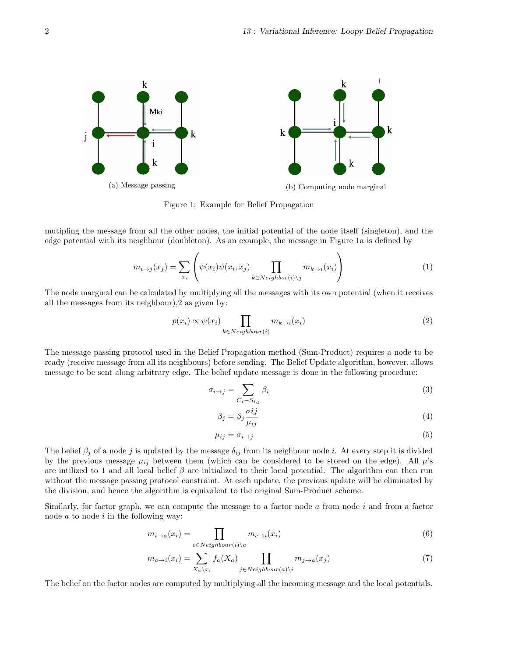

Figure 1: Example for Belief Propagation

mutipling the message from all the other nodes, the initial potential of the node itself (singleton), and the edge potential with its neighbour (doubleton). As an example, the message in Figure 1a is defined by

$$
m_{i \to j}(x_j) = \sum_{x_i} \left( \psi(x_i) \psi(x_i, x_j) \prod_{k \in Neighbour(i) \setminus j} m_{k \to i}(x_i) \right)
$$
(1)

The node marginal can be calculated by multiplying all the messages with its own potential (when it receives all the messages from its neighbour),2 as given by:

$$
p(x_i) \propto \psi(x_i) \prod_{k \in Neighbour(i)} m_{k \to i}(x_i)
$$
 (2)

The message passing protocol used in the Belief Propagation method (Sum-Product) requires a node to be ready (receive message from all its neighbours) before sending. The Belief Update algorithm, however, allows message to be sent along arbitrary edge. The belief update message is done in the following procedure:

$$
\sigma_{i \to j} = \sum_{C_i - S_{i,j}} \beta_i \tag{3}
$$

$$
\beta_j = \beta_j \frac{\sigma ij}{\mu_{ij}} \tag{4}
$$

$$
\mu_{ij} = \sigma_{i \to j} \tag{5}
$$

The belief  $\beta_j$  of a node j is updated by the message  $\delta_{ij}$  from its neighbour node i. At every step it is divided by the previous message  $\mu_{ij}$  between them (which can be considered to be stored on the edge). All  $\mu$ 's are intilized to 1 and all local belief  $\beta$  are initialized to their local potential. The algorithm can then run without the message passing protocol constraint. At each update, the previous update will be eliminated by the division, and hence the algorithm is equivalent to the original Sum-Product scheme.

Similarly, for factor graph, we can compute the message to a factor node  $\alpha$  from node  $i$  and from a factor node  $a$  to node  $i$  in the following way:

$$
m_{i \to a}(x_i) = \prod_{c \in Neighbour(i) \setminus a} m_{c \to i}(x_i)
$$
\n<sup>(6)</sup>

$$
m_{a \to i}(x_i) = \sum_{X_a \backslash x_i} f_a(X_a) \prod_{j \in Neighbour(a) \backslash i} m_{j \to a}(x_j)
$$
\n<sup>(7)</sup>

The belief on the factor nodes are computed by multiplying all the incoming message and the local potentials.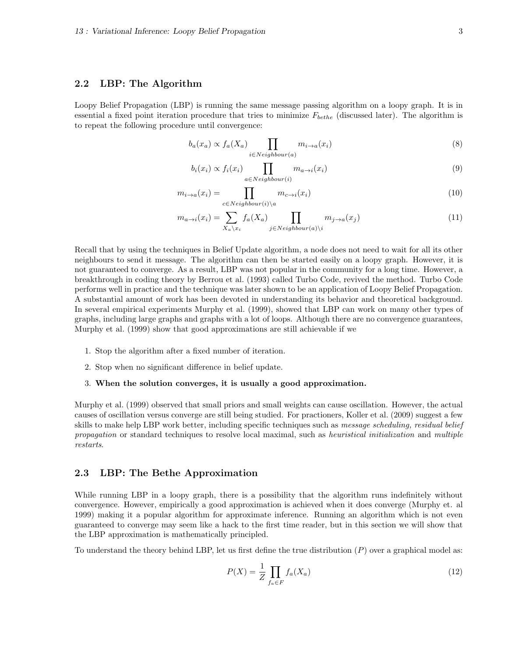#### 2.2 LBP: The Algorithm

Loopy Belief Propagation (LBP) is running the same message passing algorithm on a loopy graph. It is in essential a fixed point iteration procedure that tries to minimize  $F_{bethe}$  (discussed later). The algorithm is to repeat the following procedure until convergence:

$$
b_a(x_a) \propto f_a(X_a) \prod_{i \in Neighbour(a)} m_{i \to a}(x_i)
$$
\n(8)

$$
b_i(x_i) \propto f_i(x_i) \prod_{a \in Neighbour(i)} m_{a \to i}(x_i)
$$
\n(9)

$$
m_{i \to a}(x_i) = \prod_{c \in Neighbour(i) \setminus a} m_{c \to i}(x_i)
$$
\n(10)

$$
m_{a \to i}(x_i) = \sum_{X_a \backslash x_i} f_a(X_a) \prod_{j \in Neighbour(a) \backslash i} m_{j \to a}(x_j)
$$
\n(11)

Recall that by using the techniques in Belief Update algorithm, a node does not need to wait for all its other neighbours to send it message. The algorithm can then be started easily on a loopy graph. However, it is not guaranteed to converge. As a result, LBP was not popular in the community for a long time. However, a breakthrough in coding theory by Berrou et al. (1993) called Turbo Code, revived the method. Turbo Code performs well in practice and the technique was later shown to be an application of Loopy Belief Propagation. A substantial amount of work has been devoted in understanding its behavior and theoretical background. In several empirical experiments Murphy et al. (1999), showed that LBP can work on many other types of graphs, including large graphs and graphs with a lot of loops. Although there are no convergence guarantees, Murphy et al. (1999) show that good approximations are still achievable if we

- 1. Stop the algorithm after a fixed number of iteration.
- 2. Stop when no significant difference in belief update.

#### 3. When the solution converges, it is usually a good approximation.

Murphy et al. (1999) observed that small priors and small weights can cause oscillation. However, the actual causes of oscillation versus converge are still being studied. For practioners, Koller et al. (2009) suggest a few skills to make help LBP work better, including specific techniques such as *message scheduling, residual belief* propagation or standard techniques to resolve local maximal, such as heuristical initialization and multiple restarts.

#### 2.3 LBP: The Bethe Approximation

While running LBP in a loopy graph, there is a possibility that the algorithm runs indefinitely without convergence. However, empirically a good approximation is achieved when it does converge (Murphy et. al 1999) making it a popular algorithm for approximate inference. Running an algorithm which is not even guaranteed to converge may seem like a hack to the first time reader, but in this section we will show that the LBP approximation is mathematically principled.

To understand the theory behind LBP, let us first define the true distribution  $(P)$  over a graphical model as:

$$
P(X) = \frac{1}{Z} \prod_{f_a \in F} f_a(X_a)
$$
\n<sup>(12)</sup>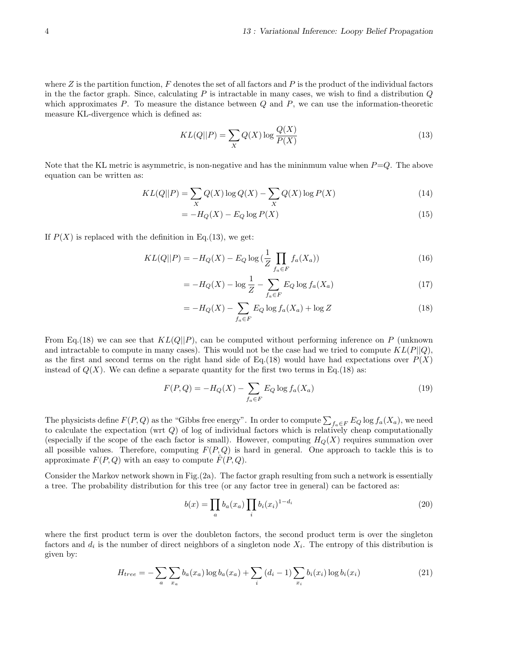where  $Z$  is the partition function,  $F$  denotes the set of all factors and  $P$  is the product of the individual factors in the the factor graph. Since, calculating  $P$  is intractable in many cases, we wish to find a distribution  $Q$ which approximates  $P$ . To measure the distance between  $Q$  and  $P$ , we can use the information-theoretic measure KL-divergence which is defined as:

$$
KL(Q||P) = \sum_{X} Q(X) \log \frac{Q(X)}{P(X)}
$$
\n(13)

Note that the KL metric is asymmetric, is non-negative and has the minimum value when  $P=Q$ . The above equation can be written as:

$$
KL(Q||P) = \sum_{X} Q(X) \log Q(X) - \sum_{X} Q(X) \log P(X) \tag{14}
$$

$$
=-H_Q(X) - E_Q \log P(X) \tag{15}
$$

If  $P(X)$  is replaced with the definition in Eq.(13), we get:

$$
KL(Q||P) = -H_Q(X) - E_Q \log\left(\frac{1}{Z} \prod_{f_a \in F} f_a(X_a)\right)
$$
\n(16)

$$
= -H_Q(X) - \log \frac{1}{Z} - \sum_{f_a \in F} E_Q \log f_a(X_a)
$$
\n(17)

$$
=-H_Q(X) - \sum_{f_a \in F} E_Q \log f_a(X_a) + \log Z \tag{18}
$$

From Eq.(18) we can see that  $KL(Q||P)$ , can be computed without performing inference on P (unknown and intractable to compute in many cases). This would not be the case had we tried to compute  $KL(P||Q)$ , as the first and second terms on the right hand side of Eq.(18) would have had expectations over  $P(X)$ instead of  $Q(X)$ . We can define a separate quantity for the first two terms in Eq.(18) as:

$$
F(P,Q) = -H_Q(X) - \sum_{f_a \in F} E_Q \log f_a(X_a)
$$
\n(19)

The physicists define  $F(P,Q)$  as the "Gibbs free energy". In order to compute  $\sum_{f_a \in F} E_Q \log f_a(X_a)$ , we need to calculate the expectation (wrt  $Q$ ) of log of individual factors which is relatively cheap computationally (especially if the scope of the each factor is small). However, computing  $H_Q(X)$  requires summation over all possible values. Therefore, computing  $F(P,Q)$  is hard in general. One approach to tackle this is to approximate  $F(P,Q)$  with an easy to compute  $F(P,Q)$ .

Consider the Markov network shown in Fig.(2a). The factor graph resulting from such a network is essentially a tree. The probability distribution for this tree (or any factor tree in general) can be factored as:

$$
b(x) = \prod_{a} b_a(x_a) \prod_{i} b_i(x_i)^{1 - d_i}
$$
 (20)

where the first product term is over the doubleton factors, the second product term is over the singleton factors and  $d_i$  is the number of direct neighbors of a singleton node  $X_i$ . The entropy of this distribution is given by:

$$
H_{tree} = -\sum_{a} \sum_{x_a} b_a(x_a) \log b_a(x_a) + \sum_{i} (d_i - 1) \sum_{x_i} b_i(x_i) \log b_i(x_i)
$$
 (21)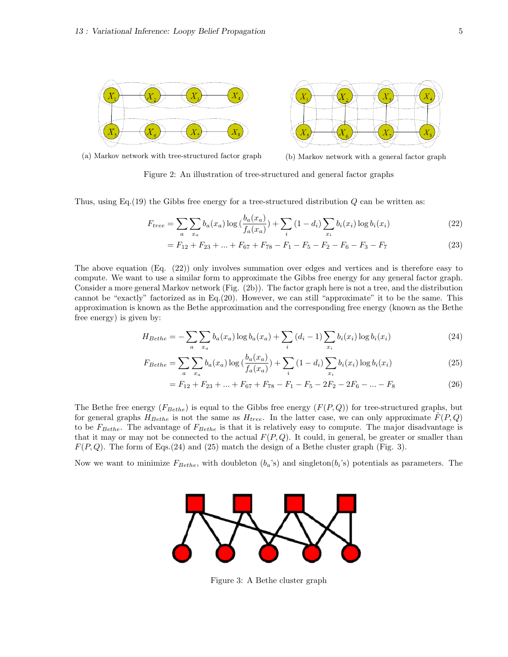

(a) Markov network with tree-structured factor graph (b) Markov network with a general factor graph

Figure 2: An illustration of tree-structured and general factor graphs

Thus, using Eq.  $(19)$  the Gibbs free energy for a tree-structured distribution  $Q$  can be written as:

$$
F_{tree} = \sum_{a} \sum_{x_a} b_a(x_a) \log \left( \frac{b_a(x_a)}{f_a(x_a)} \right) + \sum_{i} (1 - d_i) \sum_{x_i} b_i(x_i) \log b_i(x_i)
$$
(22)

$$
= F_{12} + F_{23} + \dots + F_{67} + F_{78} - F_1 - F_5 - F_2 - F_6 - F_3 - F_7 \tag{23}
$$

The above equation (Eq. (22)) only involves summation over edges and vertices and is therefore easy to compute. We want to use a similar form to approximate the Gibbs free energy for any general factor graph. Consider a more general Markov network (Fig. (2b)). The factor graph here is not a tree, and the distribution cannot be "exactly" factorized as in Eq.(20). However, we can still "approximate" it to be the same. This approximation is known as the Bethe approximation and the corresponding free energy (known as the Bethe free energy) is given by:

$$
H_{Bethe} = -\sum_{a} \sum_{x_a} b_a(x_a) \log b_a(x_a) + \sum_{i} (d_i - 1) \sum_{x_i} b_i(x_i) \log b_i(x_i)
$$
 (24)

$$
F_{Bethe} = \sum_{a} \sum_{x_a} b_a(x_a) \log \left( \frac{b_a(x_a)}{f_a(x_a)} \right) + \sum_{i} (1 - d_i) \sum_{x_i} b_i(x_i) \log b_i(x_i)
$$
 (25)

$$
= F_{12} + F_{23} + \dots + F_{67} + F_{78} - F_1 - F_5 - 2F_2 - 2F_6 - \dots - F_8 \tag{26}
$$

The Bethe free energy  $(F_{Bethe})$  is equal to the Gibbs free energy  $(F(P,Q))$  for tree-structured graphs, but for general graphs  $H_{Bethe}$  is not the same as  $H_{tree}$ . In the latter case, we can only approximate  $\hat{F}(P,Q)$ to be  $F_{Bethe}$ . The advantage of  $F_{Bethe}$  is that it is relatively easy to compute. The major disadvantage is that it may or may not be connected to the actual  $F(P,Q)$ . It could, in general, be greater or smaller than  $F(P,Q)$ . The form of Eqs.(24) and (25) match the design of a Bethe cluster graph (Fig. 3).

Now we want to minimize  $F_{Bethe}$ , with doubleton  $(b_a's)$  and singleton $(b_i's)$  potentials as parameters. The



Figure 3: A Bethe cluster graph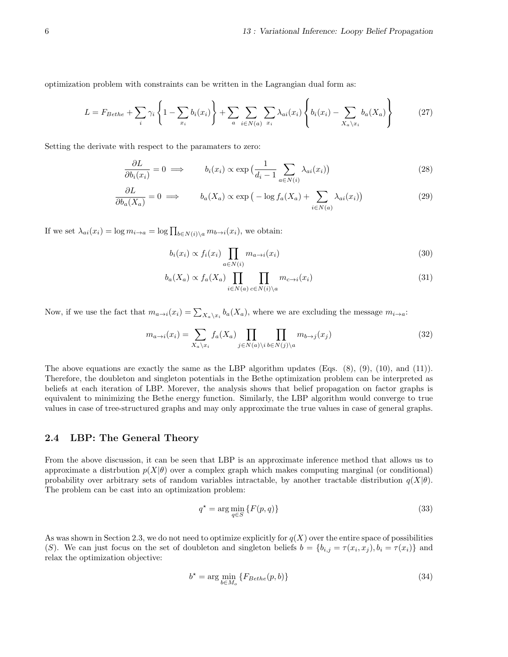optimization problem with constraints can be written in the Lagrangian dual form as:

$$
L = F_{Bethe} + \sum_{i} \gamma_i \left\{ 1 - \sum_{x_i} b_i(x_i) \right\} + \sum_{a} \sum_{i \in N(a)} \sum_{x_i} \lambda_{ai}(x_i) \left\{ b_i(x_i) - \sum_{X_a \setminus x_i} b_a(X_a) \right\} \tag{27}
$$

Setting the derivate with respect to the paramaters to zero:

$$
\frac{\partial L}{\partial b_i(x_i)} = 0 \implies b_i(x_i) \propto \exp\left(\frac{1}{d_i - 1} \sum_{a \in N(i)} \lambda_{ai}(x_i)\right) \tag{28}
$$

$$
\frac{\partial L}{\partial b_a(X_a)} = 0 \implies b_a(X_a) \propto \exp\left(-\log f_a(X_a) + \sum_{i \in N(a)} \lambda_{ai}(x_i)\right) \tag{29}
$$

If we set  $\lambda_{ai}(x_i) = \log m_{i \to a} = \log \prod_{b \in N(i) \setminus a} m_{b \to i}(x_i)$ , we obtain:

$$
b_i(x_i) \propto f_i(x_i) \prod_{a \in N(i)} m_{a \to i}(x_i)
$$
\n(30)

$$
b_a(X_a) \propto f_a(X_a) \prod_{i \in N(a)} \prod_{c \in N(i) \setminus a} m_{c \to i}(x_i)
$$
\n(31)

Now, if we use the fact that  $m_{a\to i}(x_i) = \sum_{X_a\setminus x_i} b_a(X_a)$ , where we are excluding the message  $m_{i\to a}$ :

$$
m_{a \to i}(x_i) = \sum_{X_a \backslash x_i} f_a(X_a) \prod_{j \in N(a) \backslash i} \prod_{b \in N(j) \backslash a} m_{b \to j}(x_j)
$$
\n(32)

The above equations are exactly the same as the LBP algorithm updates (Eqs.  $(8)$ ,  $(9)$ ,  $(10)$ , and  $(11)$ ). Therefore, the doubleton and singleton potentials in the Bethe optimization problem can be interpreted as beliefs at each iteration of LBP. Morever, the analysis shows that belief propagation on factor graphs is equivalent to minimizing the Bethe energy function. Similarly, the LBP algorithm would converge to true values in case of tree-structured graphs and may only approximate the true values in case of general graphs.

#### 2.4 LBP: The General Theory

From the above discussion, it can be seen that LBP is an approximate inference method that allows us to approximate a distrbution  $p(X|\theta)$  over a complex graph which makes computing marginal (or conditional) probability over arbitrary sets of random variables intractable, by another tractable distribution  $q(X|\theta)$ . The problem can be cast into an optimization problem:

$$
q^* = \arg\min_{q \in S} \{ F(p, q) \}
$$
\n(33)

As was shown in Section 2.3, we do not need to optimize explicitly for  $q(X)$  over the entire space of possibilities (S). We can just focus on the set of doubleton and singleton beliefs  $b = \{b_{i,j} = \tau(x_i, x_j), b_i = \tau(x_i)\}\$ and relax the optimization objective:

$$
b^* = \arg\min_{b \in M_o} \{ F_{Bethe}(p, b) \}
$$
\n(34)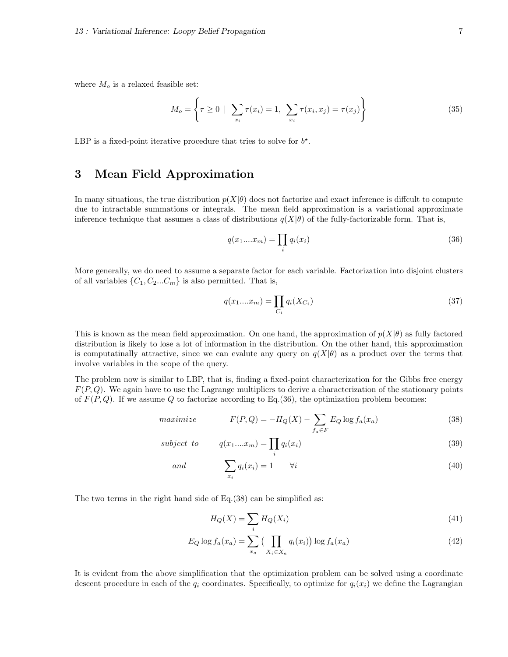where  $M<sub>o</sub>$  is a relaxed feasible set:

$$
M_o = \left\{ \tau \ge 0 \mid \sum_{x_i} \tau(x_i) = 1, \sum_{x_i} \tau(x_i, x_j) = \tau(x_j) \right\}
$$
 (35)

LBP is a fixed-point iterative procedure that tries to solve for  $b^*$ .

### 3 Mean Field Approximation

In many situations, the true distribution  $p(X|\theta)$  does not factorize and exact inference is diffcult to compute due to intractable summations or integrals. The mean field approximation is a variational approximate inference technique that assumes a class of distributions  $q(X|\theta)$  of the fully-factorizable form. That is,

$$
q(x_1...x_m) = \prod_i q_i(x_i) \tag{36}
$$

More generally, we do need to assume a separate factor for each variable. Factorization into disjoint clusters of all variables  $\{C_1, C_2...C_m\}$  is also permitted. That is,

$$
q(x_1....x_m) = \prod_{C_i} q_i(X_{C_i})
$$
\n(37)

This is known as the mean field approximation. On one hand, the approximation of  $p(X|\theta)$  as fully factored distribution is likely to lose a lot of information in the distribution. On the other hand, this approximation is computatinally attractive, since we can evalute any query on  $q(X|\theta)$  as a product over the terms that involve variables in the scope of the query.

The problem now is similar to LBP, that is, finding a fixed-point characterization for the Gibbs free energy  $F(P, Q)$ . We again have to use the Lagrange multipliers to derive a characterization of the stationary points of  $F(P,Q)$ . If we assume Q to factorize according to Eq.(36), the optimization problem becomes:

$$
maximize \tF(P,Q) = -H_Q(X) - \sum_{f_a \in F} E_Q \log f_a(x_a)
$$
\t(38)

$$
subject\ to\qquad q(x_1...x_m) = \prod_i q_i(x_i) \tag{39}
$$

and 
$$
\sum_{x_i} q_i(x_i) = 1 \qquad \forall i
$$
 (40)

The two terms in the right hand side of Eq.(38) can be simplified as:

$$
H_Q(X) = \sum_i H_Q(X_i)
$$
\n<sup>(41)</sup>

$$
E_Q \log f_a(x_a) = \sum_{x_a} \left( \prod_{X_i \in X_a} q_i(x_i) \right) \log f_a(x_a) \tag{42}
$$

It is evident from the above simplification that the optimization problem can be solved using a coordinate descent procedure in each of the  $q_i$  coordinates. Specifically, to optimize for  $q_i(x_i)$  we define the Lagrangian